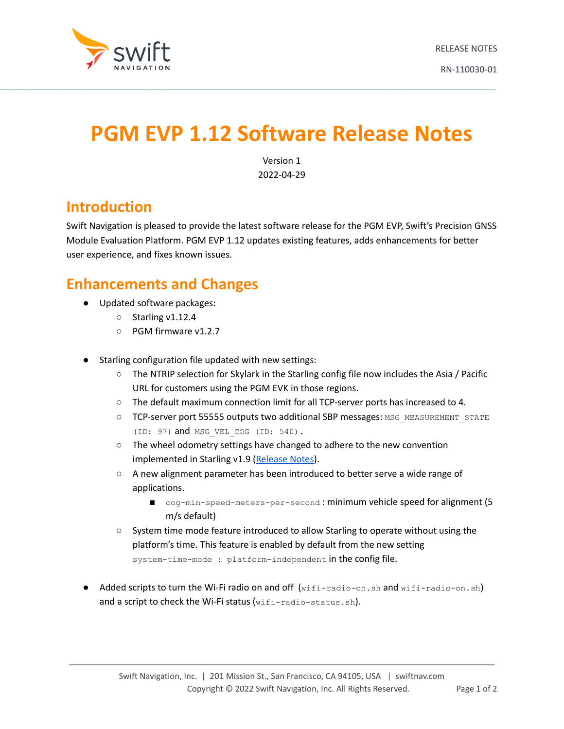

# **PGM EVP 1.12 Software Release Notes**

 $\_$  , and the state of the state of the state of the state of the state of the state of the state of the state of the state of the state of the state of the state of the state of the state of the state of the state of the

Version 1 2022-04-29

#### **Introduction**

Swift Navigation is pleased to provide the latest software release for the PGM EVP, Swift's Precision GNSS Module Evaluation Platform. PGM EVP 1.12 updates existing features, adds enhancements for better user experience, and fixes known issues.

#### **Enhancements and Changes**

- Updated software packages:
	- Starling v1.12.4
	- PGM firmware v1.2.7
- Starling configuration file updated with new settings:
	- The NTRIP selection for Skylark in the Starling config file now includes the Asia / Pacific URL for customers using the PGM EVK in those regions.
	- The default maximum connection limit for all TCP-server ports has increased to 4.
	- O TCP-server port 55555 outputs two additional SBP messages: MSG\_MEASUREMENT\_STATE (ID: 97) and MSG VEL COG (ID: 540).
	- The wheel odometry settings have changed to adhere to the new convention implemented in Starling v1.9 ([Release](https://www.swiftnav.com/resource-files/Starling/v1/Release%20Notes/Starling%201.9%20Release%20Notes%20[RN-110023-01]_0.pdf) Notes).
	- A new alignment parameter has been introduced to better serve a wide range of applications.
		- cog-min-speed-meters-per-second : minimum vehicle speed for alignment (5 m/s default)
	- System time mode feature introduced to allow Starling to operate without using the platform's time. This feature is enabled by default from the new setting system-time-mode : platform-independent in the config file.
- Added scripts to turn the Wi-Fi radio on and off (wifi-radio-on.sh and wifi-radio-on.sh) and a script to check the Wi-Fi status (wifi-radio-status.sh).